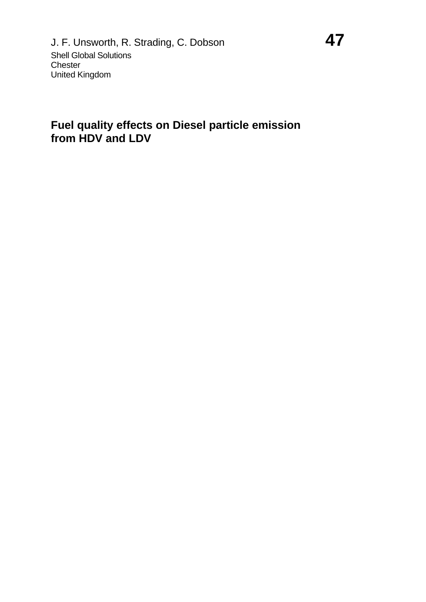#### **Fuel quality effects on Diesel particle emission from HDV and LDV**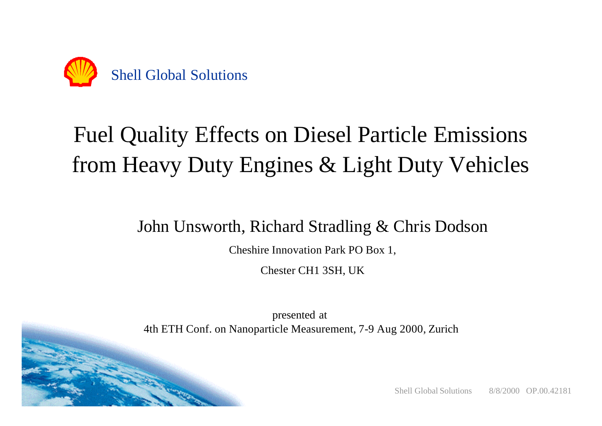

# Fuel Quality Effects on Diesel Particle Emissions from Heavy Duty Engines & Light Duty Vehicles

### John Unsworth, Richard Stradling & Chris Dodson

Cheshire Innovation Park PO Box 1,

Chester CH1 3SH, UK

presented at 4th ETH Conf. on Nanoparticle Measurement, 7-9 Aug 2000, Zurich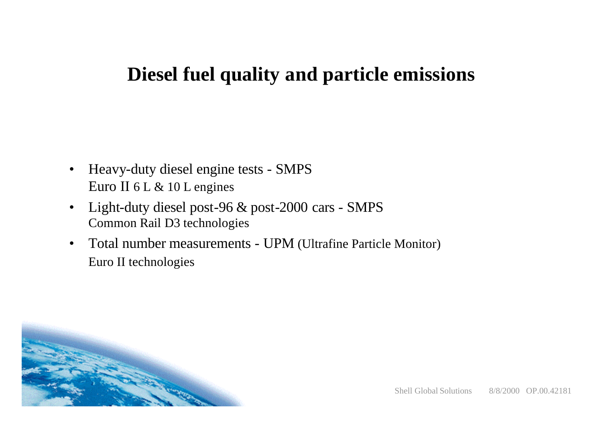### **Diesel fuel quality and particle emissions**

- Heavy-duty diesel engine tests SMPS Euro II 6 L & 10 L engines
- Light-duty diesel post-96 & post-2000 cars SMPS Common Rail D3 technologies
- Total number measurements UPM (Ultrafine Particle Monitor) Euro II technologies

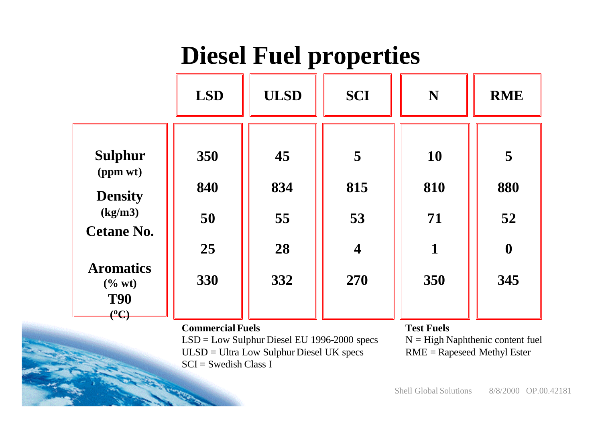# **Diesel Fuel properties**

|                                                                                                   | <b>LSD</b>       | <b>ULSD</b>     | <b>SCI</b>              | N                      | <b>RME</b>       |
|---------------------------------------------------------------------------------------------------|------------------|-----------------|-------------------------|------------------------|------------------|
| <b>Sulphur</b><br>(ppm wt)<br><b>Density</b><br>(kg/m3)<br><b>Cetane No.</b>                      | 350<br>840<br>50 | 45<br>834<br>55 | 5<br>815<br>53          | <b>10</b><br>810<br>71 | 5<br>880<br>52   |
|                                                                                                   | 25               | 28              | $\overline{\mathbf{4}}$ | $\mathbf 1$            | $\boldsymbol{0}$ |
| <b>Aromatics</b><br>$(\%$ wt)<br><b>T90</b><br>$\overset{\text{\tiny{(0)}}}{\longleftrightarrow}$ | 330              | 332             | 270                     | 350                    | 345              |

#### **Commercial Fuels**

LSD = Low Sulphur Diesel EU 1996-2000 specs ULSD = Ultra Low Sulphur Diesel UK specs  $SCI = Swedish Class I$ 

**Test Fuels**

 $N = High Naphthenic content fuel$ RME = Rapeseed Methyl Ester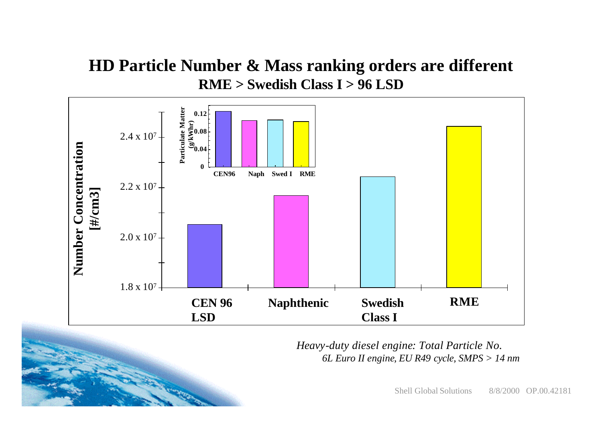#### **HD Particle Number & Mass ranking orders are different RME > Swedish Class I > 96 LSD**



*Heavy-duty diesel engine: Total Particle No. 6L Euro II engine, EU R49 cycle, SMPS > 14 nm*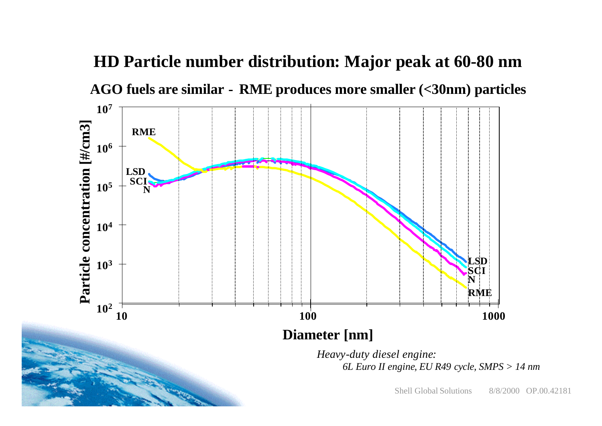

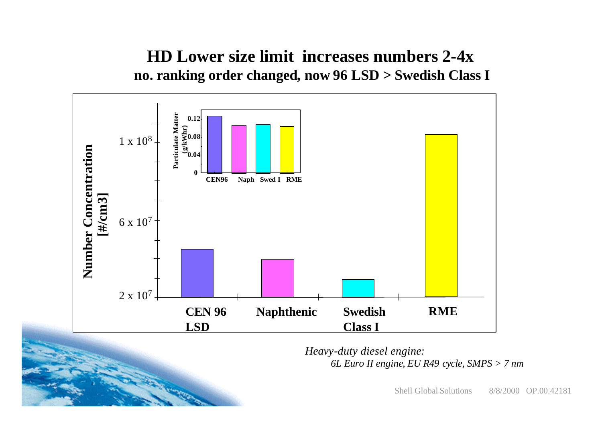#### **HD Lower size limit increases numbers 2-4x no. ranking order changed, now 96 LSD > Swedish Class I**



*Heavy-duty diesel engine: 6L Euro II engine, EU R49 cycle, SMPS > 7 nm*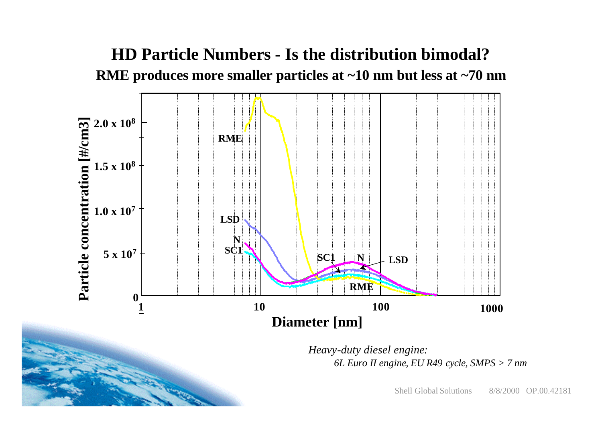### **HD Particle Numbers - Is the distribution bimodal? RME produces more smaller particles at ~10 nm but less at ~70 nm**



*Heavy-duty diesel engine: 6L Euro II engine, EU R49 cycle, SMPS > 7 nm*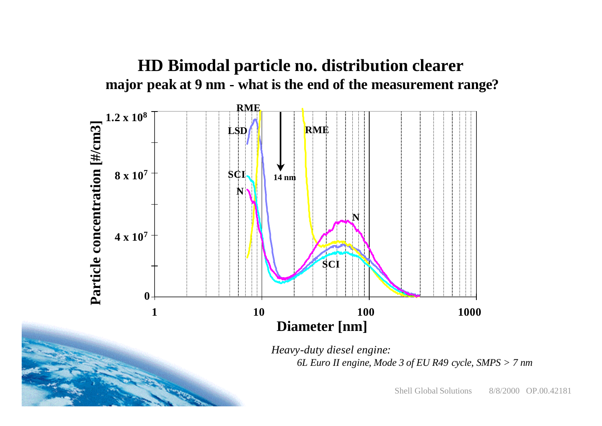



*Heavy-duty diesel engine: 6L Euro II engine, Mode 3 of EU R49 cycle, SMPS > 7 nm*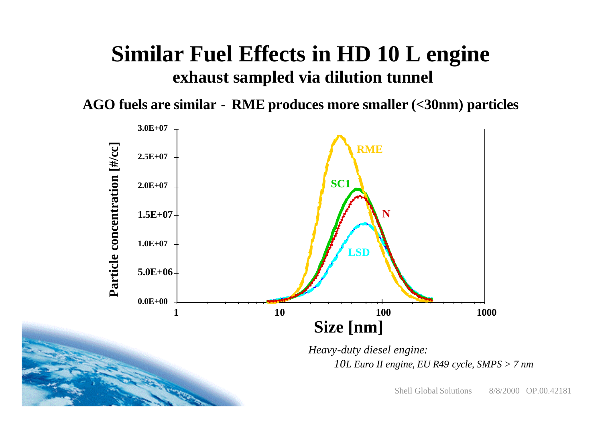## **Similar Fuel Effects in HD 10 L engine exhaust sampled via dilution tunnel**

**AGO fuels are similar - RME produces more smaller (<30nm) particles**

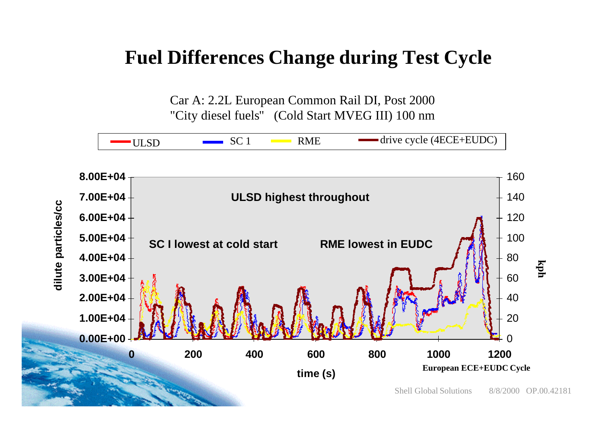### **Fuel Differences Change during Test Cycle**

Car A: 2.2L European Common Rail DI, Post 2000 "City diesel fuels" (Cold Start MVEG III) 100 nm

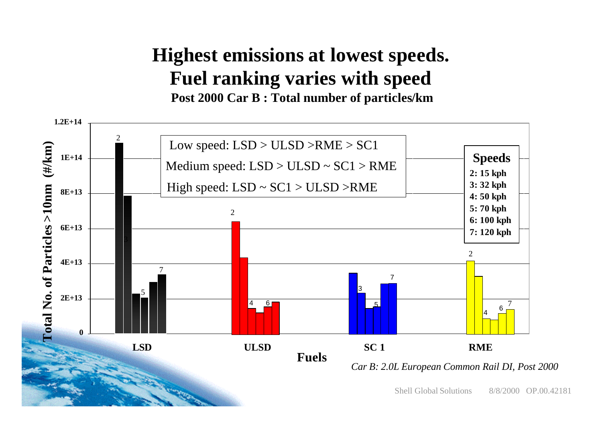### **Highest emissions at lowest speeds. Fuel ranking varies with speed Post 2000 Car B : Total number of particles/km**

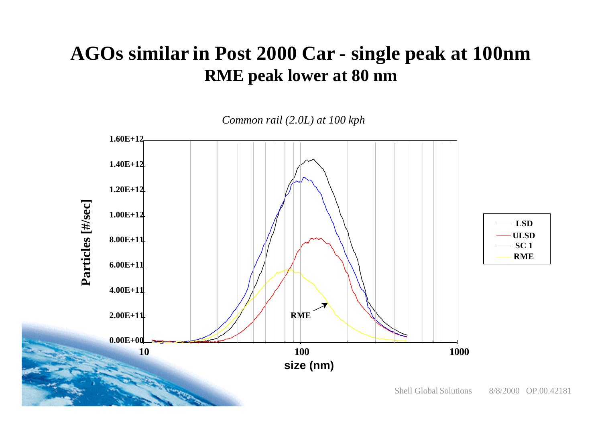### **AGOs similar in Post 2000 Car - single peak at 100nm RME peak lower at 80 nm**

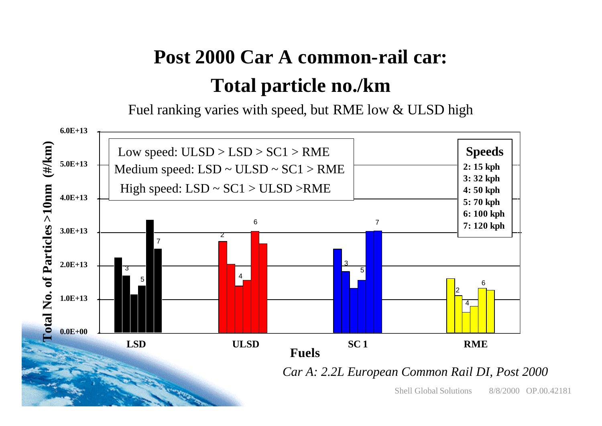## **Post 2000 Car A common-rail car: Total particle no./km**

Fuel ranking varies with speed, but RME low & ULSD high

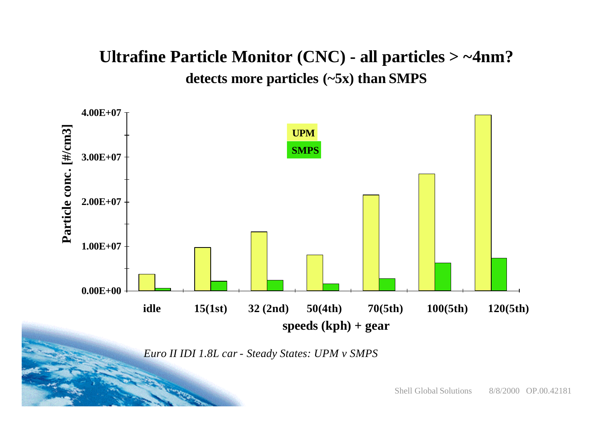### **Ultrafine Particle Monitor (CNC) - all particles > ~4nm? detects more particles (~5x) than SMPS**



*Euro II IDI 1.8L car - Steady States: UPM v SMPS*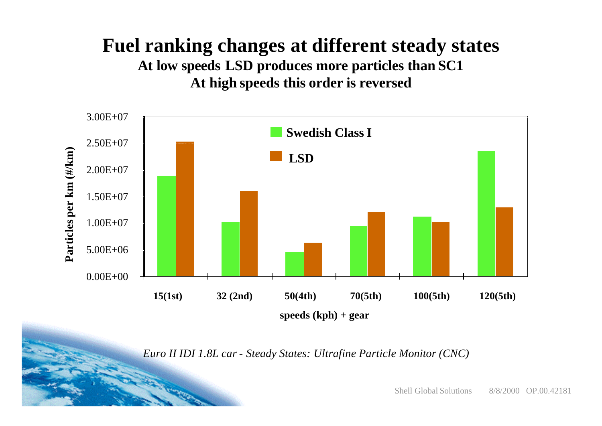## **Fuel ranking changes at different steady states**

**At low speeds LSD produces more particles than SC1 At high speeds this order is reversed** 



*Euro II IDI 1.8L car - Steady States: Ultrafine Particle Monitor (CNC)*